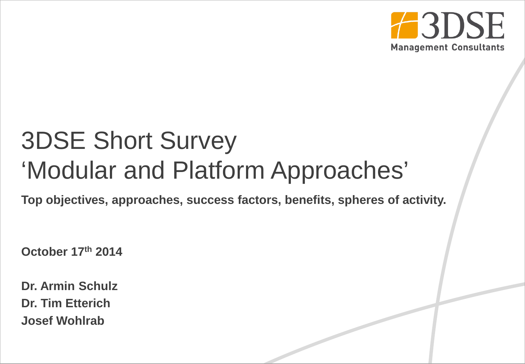

## 3DSE Short Survey 'Modular and Platform Approaches'

**Top objectives, approaches, success factors, benefits, spheres of activity.**

**October 17th 2014**

**Dr. Armin Schulz Dr. Tim Etterich Josef Wohlrab**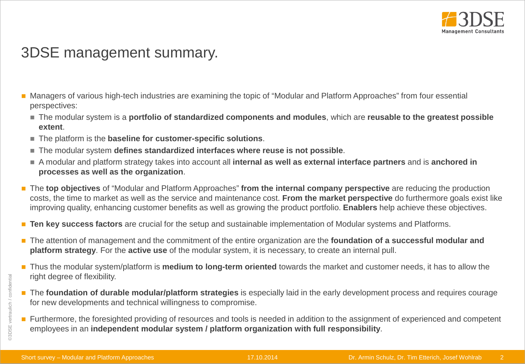

## 3DSE management summary.

- **Managers of various high-tech industries are examining the topic of "Modular and Platform Approaches" from four essential** perspectives:
	- The modular system is a **portfolio of standardized components and modules**, which are **reusable to the greatest possible extent**.
	- The platform is the **baseline for customer-specific solutions**.
	- The modular system **defines standardized interfaces where reuse is not possible**.
	- A modular and platform strategy takes into account all **internal as well as external interface partners** and is **anchored in processes as well as the organization**.
- The **top objectives** of "Modular and Platform Approaches" from the internal company perspective are reducing the production costs, the time to market as well as the service and maintenance cost. **From the market perspective** do furthermore goals exist like improving quality, enhancing customer benefits as well as growing the product portfolio. **Enablers** help achieve these objectives.
- **Ten key success factors** are crucial for the setup and sustainable implementation of Modular systems and Platforms.
- The attention of management and the commitment of the entire organization are the **foundation of a successful modular and platform strategy**. For the **active use** of the modular system, it is necessary, to create an internal pull.
- Thus the modular system/platform is **medium to long-term oriented** towards the market and customer needs, it has to allow the right degree of flexibility.
- The **foundation of durable modular/platform strategies** is especially laid in the early development process and requires courage for new developments and technical willingness to compromise.
- Furthermore, the foresighted providing of resources and tools is needed in addition to the assignment of experienced and competent employees in an **independent modular system / platform organization with full responsibility**.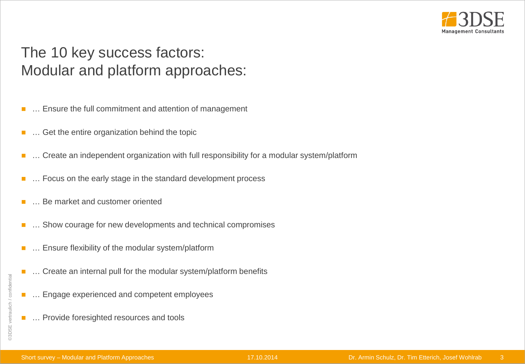

## The 10 key success factors: Modular and platform approaches:

- … Ensure the full commitment and attention of management
- … Get the entire organization behind the topic
- ... Create an independent organization with full responsibility for a modular system/platform
- ... Focus on the early stage in the standard development process
- … Be market and customer oriented
- … Show courage for new developments and technical compromises
- … Ensure flexibility of the modular system/platform
- … Create an internal pull for the modular system/platform benefits
- … Engage experienced and competent employees
- … Provide foresighted resources and tools